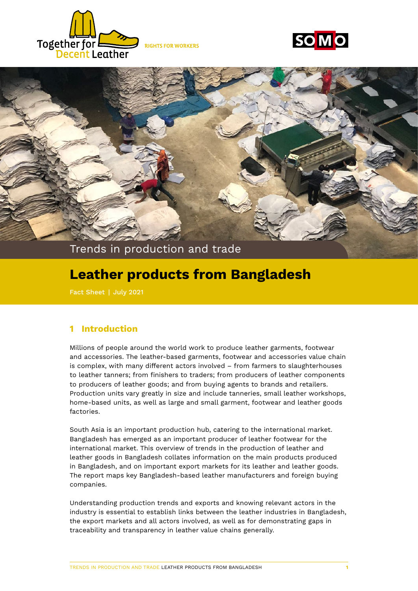





# **Leather products from Bangladesh**

### **1 Introduction**

Millions of people around the world work to produce leather garments, footwear and accessories. The leather-based garments, footwear and accessories value chain is complex, with many different actors involved – from farmers to slaughterhouses to leather tanners; from finishers to traders; from producers of leather components to producers of leather goods; and from buying agents to brands and retailers. Production units vary greatly in size and include tanneries, small leather workshops, home-based units, as well as large and small garment, footwear and leather goods factories.

South Asia is an important production hub, catering to the international market. Bangladesh has emerged as an important producer of leather footwear for the international market. This overview of trends in the production of leather and leather goods in Bangladesh collates information on the main products produced in Bangladesh, and on important export markets for its leather and leather goods. The report maps key Bangladesh-based leather manufacturers and foreign buying companies.

Understanding production trends and exports and knowing relevant actors in the industry is essential to establish links between the leather industries in Bangladesh, the export markets and all actors involved, as well as for demonstrating gaps in traceability and transparency in leather value chains generally.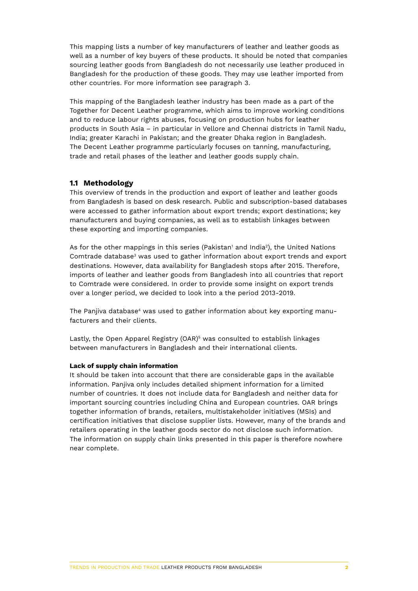This mapping lists a number of key manufacturers of leather and leather goods as well as a number of key buyers of these products. It should be noted that companies sourcing leather goods from Bangladesh do not necessarily use leather produced in Bangladesh for the production of these goods. They may use leather imported from other countries. For more information see paragraph 3.

This mapping of the Bangladesh leather industry has been made as a part of the Together for Decent Leather programme, which aims to improve working conditions and to reduce labour rights abuses, focusing on production hubs for leather products in South Asia – in particular in Vellore and Chennai districts in Tamil Nadu, India; greater Karachi in Pakistan; and the greater Dhaka region in Bangladesh. The Decent Leather programme particularly focuses on tanning, manufacturing, trade and retail phases of the leather and leather goods supply chain.

### **1.1 Methodology**

This overview of trends in the production and export of leather and leather goods from Bangladesh is based on desk research. Public and subscription-based databases were accessed to gather information about export trends; export destinations; key manufacturers and buying companies, as well as to establish linkages between these exporting and importing companies.

As for the other mappings in this series (Pakistan' and India<sup>2</sup>), the United Nations Comtrade database<sup>3</sup> was used to gather information about export trends and export destinations. However, data availability for Bangladesh stops after 2015. Therefore, imports of leather and leather goods from Bangladesh into all countries that report to Comtrade were considered. In order to provide some insight on export trends over a longer period, we decided to look into a the period 2013-2019.

The Panjiva database<sup>4</sup> was used to gather information about key exporting manufacturers and their clients.

Lastly, the Open Apparel Registry (OAR)<sup>5</sup> was consulted to establish linkages between manufacturers in Bangladesh and their international clients.

### **Lack of supply chain information**

It should be taken into account that there are considerable gaps in the available information. Panjiva only includes detailed shipment information for a limited number of countries. It does not include data for Bangladesh and neither data for important sourcing countries including China and European countries. OAR brings together information of brands, retailers, multistakeholder initiatives (MSIs) and certification initiatives that disclose supplier lists. However, many of the brands and retailers operating in the leather goods sector do not disclose such information. The information on supply chain links presented in this paper is therefore nowhere near complete.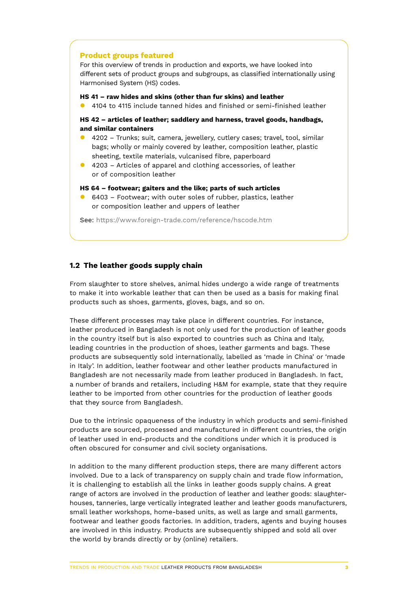### **Product groups featured**

For this overview of trends in production and exports, we have looked into different sets of product groups and subgroups, as classified internationally using Harmonised System (HS) codes.

#### **HS 41 – raw hides and skins (other than fur skins) and leather**

**•** 4104 to 4115 include tanned hides and finished or semi-finished leather

**HS 42 – articles of leather; saddlery and harness, travel goods, handbags, and similar containers**

- 4202 Trunks; suit, camera, jewellery, cutlery cases; travel, tool, similar bags; wholly or mainly covered by leather, composition leather, plastic sheeting, textile materials, vulcanised fibre, paperboard
- $\bullet$  4203 Articles of apparel and clothing accessories, of leather or of composition leather

### **HS 64 – footwear; gaiters and the like; parts of such articles**

 $\bullet$  6403 – Footwear; with outer soles of rubber, plastics, leather or composition leather and uppers of leather

See: https://www.foreign-trade.com/reference/hscode.htm

### **1.2 The leather goods supply chain**

From slaughter to store shelves, animal hides undergo a wide range of treatments to make it into workable leather that can then be used as a basis for making final products such as shoes, garments, gloves, bags, and so on.

These different processes may take place in different countries. For instance, leather produced in Bangladesh is not only used for the production of leather goods in the country itself but is also exported to countries such as China and Italy, leading countries in the production of shoes, leather garments and bags. These products are subsequently sold internationally, labelled as 'made in China' or 'made in Italy'. In addition, leather footwear and other leather products manufactured in Bangladesh are not necessarily made from leather produced in Bangladesh. In fact, a number of brands and retailers, including H&M for example, state that they require leather to be imported from other countries for the production of leather goods that they source from Bangladesh.

Due to the intrinsic opaqueness of the industry in which products and semi-finished products are sourced, processed and manufactured in different countries, the origin of leather used in end-products and the conditions under which it is produced is often obscured for consumer and civil society organisations.

In addition to the many different production steps, there are many different actors involved. Due to a lack of transparency on supply chain and trade flow information, it is challenging to establish all the links in leather goods supply chains. A great range of actors are involved in the production of leather and leather goods: slaughterhouses, tanneries, large vertically integrated leather and leather goods manufacturers, small leather workshops, home-based units, as well as large and small garments, footwear and leather goods factories. In addition, traders, agents and buying houses are involved in this industry. Products are subsequently shipped and sold all over the world by brands directly or by (online) retailers.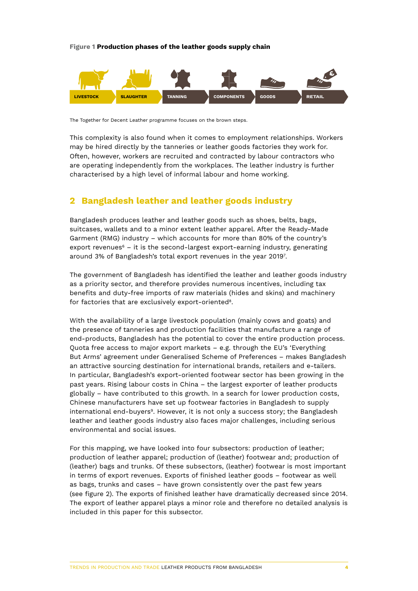#### **Figure 1 Production phases of the leather goods supply chain**



The Together for Decent Leather programme focuses on the brown steps.

This complexity is also found when it comes to employment relationships. Workers may be hired directly by the tanneries or leather goods factories they work for. Often, however, workers are recruited and contracted by labour contractors who are operating independently from the workplaces. The leather industry is further characterised by a high level of informal labour and home working.

### **2 Bangladesh leather and leather goods industry**

Bangladesh produces leather and leather goods such as shoes, belts, bags, suitcases, wallets and to a minor extent leather apparel. After the Ready-Made Garment (RMG) industry – which accounts for more than 80% of the country's export revenues<sup> $6$ </sup> – it is the second-largest export-earning industry, generating around 3% of Bangladesh's total export revenues in the year 2019<sup>7</sup>.

The government of Bangladesh has identified the leather and leather goods industry as a priority sector, and therefore provides numerous incentives, including tax benefits and duty-free imports of raw materials (hides and skins) and machinery for factories that are exclusively export-oriented<sup>8</sup>.

With the availability of a large livestock population (mainly cows and goats) and the presence of tanneries and production facilities that manufacture a range of end-products, Bangladesh has the potential to cover the entire production process. Quota free access to major export markets – e.g. through the EU's 'Everything But Arms' agreement under Generalised Scheme of Preferences – makes Bangladesh an attractive sourcing destination for international brands, retailers and e-tailers. In particular, Bangladesh's export-oriented footwear sector has been growing in the past years. Rising labour costs in China – the largest exporter of leather products globally – have contributed to this growth. In a search for lower production costs, Chinese manufacturers have set up footwear factories in Bangladesh to supply international end-buyers<sup>9</sup>. However, it is not only a success story; the Bangladesh leather and leather goods industry also faces major challenges, including serious environmental and social issues.

For this mapping, we have looked into four subsectors: production of leather; production of leather apparel; production of (leather) footwear and; production of (leather) bags and trunks. Of these subsectors, (leather) footwear is most important in terms of export revenues. Exports of finished leather goods – footwear as well as bags, trunks and cases – have grown consistently over the past few years (see figure 2). The exports of finished leather have dramatically decreased since 2014. The export of leather apparel plays a minor role and therefore no detailed analysis is included in this paper for this subsector.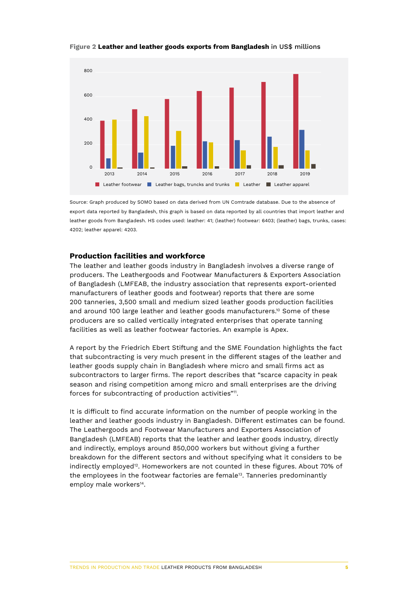

**Figure 2 Leather and leather goods exports from Bangladesh** in US\$ millions

Source: Graph produced by SOMO based on data derived from UN Comtrade database. Due to the absence of export data reported by Bangladesh, this graph is based on data reported by all countries that import leather and leather goods from Bangladesh. HS codes used: leather: 41; (leather) footwear: 6403; (leather) bags, trunks, cases: 4202; leather apparel: 4203.

### **Production facilities and workforce**

The leather and leather goods industry in Bangladesh involves a diverse range of producers. The Leathergoods and Footwear Manufacturers & Exporters Association of Bangladesh (LMFEAB, the industry association that represents export-oriented manufacturers of leather goods and footwear) reports that there are some 200 tanneries, 3,500 small and medium sized leather goods production facilities and around 100 large leather and leather goods manufacturers.<sup>10</sup> Some of these producers are so called vertically integrated enterprises that operate tanning facilities as well as leather footwear factories. An example is Apex.

A report by the Friedrich Ebert Stiftung and the SME Foundation highlights the fact that subcontracting is very much present in the different stages of the leather and leather goods supply chain in Bangladesh where micro and small firms act as subcontractors to larger firms. The report describes that "scarce capacity in peak season and rising competition among micro and small enterprises are the driving forces for subcontracting of production activities"11.

It is difficult to find accurate information on the number of people working in the leather and leather goods industry in Bangladesh. Different estimates can be found. The Leathergoods and Footwear Manufacturers and Exporters Association of Bangladesh (LMFEAB) reports that the leather and leather goods industry, directly and indirectly, employs around 850,000 workers but without giving a further breakdown for the different sectors and without specifying what it considers to be indirectly employed<sup>12</sup>. Homeworkers are not counted in these figures. About 70% of the employees in the footwear factories are female<sup>13</sup>. Tanneries predominantly employ male workers<sup>14</sup>.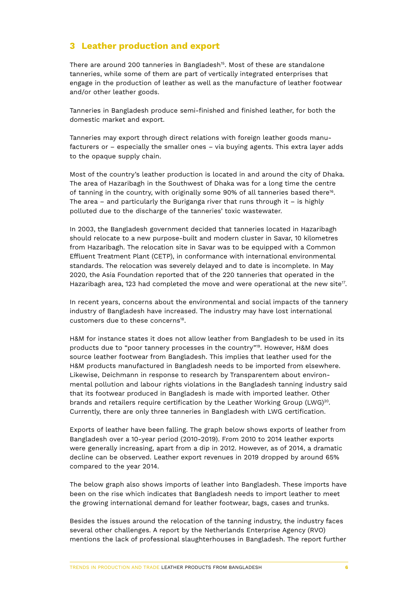### **3 Leather production and export**

There are around 200 tanneries in Bangladesh<sup>15</sup>. Most of these are standalone tanneries, while some of them are part of vertically integrated enterprises that engage in the production of leather as well as the manufacture of leather footwear and/or other leather goods.

Tanneries in Bangladesh produce semi-finished and finished leather, for both the domestic market and export.

Tanneries may export through direct relations with foreign leather goods manufacturers or – especially the smaller ones – via buying agents. This extra layer adds to the opaque supply chain.

Most of the country's leather production is located in and around the city of Dhaka. The area of Hazaribagh in the Southwest of Dhaka was for a long time the centre of tanning in the country, with originally some 90% of all tanneries based there<sup>16</sup>. The area – and particularly the Buriganga river that runs through it – is highly polluted due to the discharge of the tanneries' toxic wastewater.

In 2003, the Bangladesh government decided that tanneries located in Hazaribagh should relocate to a new purpose-built and modern cluster in Savar, 10 kilometres from Hazaribagh. The relocation site in Savar was to be equipped with a Common Effluent Treatment Plant (CETP), in conformance with international environmental standards. The relocation was severely delayed and to date is incomplete. In May 2020, the Asia Foundation reported that of the 220 tanneries that operated in the Hazaribagh area, 123 had completed the move and were operational at the new site<sup>17</sup>.

In recent years, concerns about the environmental and social impacts of the tannery industry of Bangladesh have increased. The industry may have lost international customers due to these concerns<sup>18</sup>.

H&M for instance states it does not allow leather from Bangladesh to be used in its products due to "poor tannery processes in the country"<sup>19</sup>. However, H&M does source leather footwear from Bangladesh. This implies that leather used for the H&M products manufactured in Bangladesh needs to be imported from elsewhere. Likewise, Deichmann in response to research by Transparentem about environmental pollution and labour rights violations in the Bangladesh tanning industry said that its footwear produced in Bangladesh is made with imported leather. Other brands and retailers require certification by the Leather Working Group (LWG)<sup>20</sup>. Currently, there are only three tanneries in Bangladesh with LWG certification.

Exports of leather have been falling. The graph below shows exports of leather from Bangladesh over a 10-year period (2010-2019). From 2010 to 2014 leather exports were generally increasing, apart from a dip in 2012. However, as of 2014, a dramatic decline can be observed. Leather export revenues in 2019 dropped by around 65% compared to the year 2014.

The below graph also shows imports of leather into Bangladesh. These imports have been on the rise which indicates that Bangladesh needs to import leather to meet the growing international demand for leather footwear, bags, cases and trunks.

Besides the issues around the relocation of the tanning industry, the industry faces several other challenges. A report by the Netherlands Enterprise Agency (RVO) mentions the lack of professional slaughterhouses in Bangladesh. The report further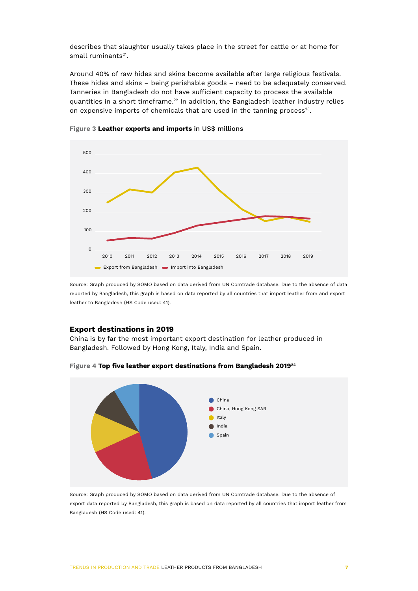describes that slaughter usually takes place in the street for cattle or at home for small ruminants $21$ .

Around 40% of raw hides and skins become available after large religious festivals. These hides and skins – being perishable goods – need to be adequately conserved. Tanneries in Bangladesh do not have sufficient capacity to process the available quantities in a short timeframe.<sup>22</sup> In addition, the Bangladesh leather industry relies on expensive imports of chemicals that are used in the tanning process<sup>23</sup>.



**Figure 3 Leather exports and imports** in US\$ millions

Source: Graph produced by SOMO based on data derived from UN Comtrade database. Due to the absence of data reported by Bangladesh, this graph is based on data reported by all countries that import leather from and export leather to Bangladesh (HS Code used: 41).

### **Export destinations in 2019**

China is by far the most important export destination for leather produced in Bangladesh. Followed by Hong Kong, Italy, India and Spain.



**Figure 4 Top five leather export destinations from Bangladesh 201924**

Source: Graph produced by SOMO based on data derived from UN Comtrade database. Due to the absence of export data reported by Bangladesh, this graph is based on data reported by all countries that import leather from Bangladesh (HS Code used: 41).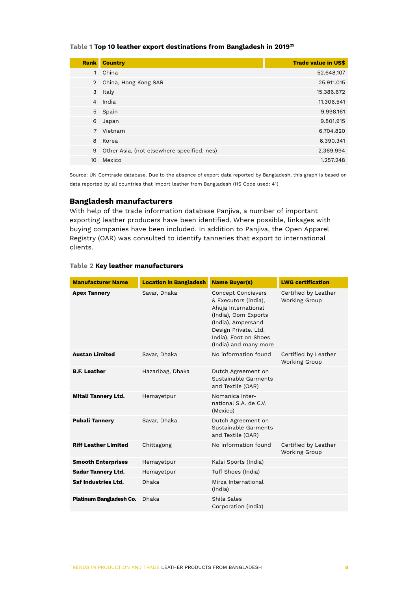### **Table 1 Top 10 leather export destinations from Bangladesh in 201925**

| <b>Rank</b>    | <b>Country</b>                             | <b>Trade value in US\$</b> |
|----------------|--------------------------------------------|----------------------------|
| 1              | China                                      | 52.648.107                 |
|                | 2 China, Hong Kong SAR                     | 25.911.015                 |
| 3              | Italy                                      | 15.386.672                 |
| $\overline{4}$ | India                                      | 11.306.541                 |
| 5              | Spain                                      | 9.998.161                  |
| 6              | Japan                                      | 9.801.915                  |
| $7^{\circ}$    | Vietnam                                    | 6.704.820                  |
| 8              | Korea                                      | 6.390.341                  |
| 9              | Other Asia, (not elsewhere specified, nes) | 2.369.994                  |
| 10             | Mexico                                     | 1.257.248                  |
|                |                                            |                            |

Source: UN Comtrade database. Due to the absence of export data reported by Bangladesh, this graph is based on data reported by all countries that import leather from Bangladesh (HS Code used: 41)

### **Bangladesh manufacturers**

With help of the trade information database Panjiva, a number of important exporting leather producers have been identified. Where possible, linkages with buying companies have been included. In addition to Panjiva, the Open Apparel Registry (OAR) was consulted to identify tanneries that export to international clients.

#### **Table 2 Key leather manufacturers**

| <b>Manufacturer Name</b>       | <b>Location in Bangladesh</b> | <b>Name Buyer(s)</b>                                                                                                                                                                             | <b>LWG certification</b>                     |
|--------------------------------|-------------------------------|--------------------------------------------------------------------------------------------------------------------------------------------------------------------------------------------------|----------------------------------------------|
| <b>Apex Tannery</b>            | Savar, Dhaka                  | <b>Concept Concievers</b><br>& Executors (india),<br>Ahuja International<br>(India), Oom Exports<br>(India), Ampersand<br>Design Private. Ltd.<br>India), Foot on Shoes<br>(India) and many more | Certified by Leather<br><b>Working Group</b> |
| <b>Austan Limited</b>          | Savar, Dhaka                  | No information found                                                                                                                                                                             | Certified by Leather<br><b>Working Group</b> |
| <b>B.F. Leather</b>            | Hazaribag, Dhaka              | Dutch Agreement on<br>Sustainable Garments<br>and Textile (OAR)                                                                                                                                  |                                              |
| Mitali Tannery Ltd.            | Hemayetpur                    | Nomanica Inter-<br>national S.A. de C.V.<br>(Mexico)                                                                                                                                             |                                              |
| <b>Pubali Tannery</b>          | Savar, Dhaka                  | Dutch Agreement on<br>Sustainable Garments<br>and Textile (OAR)                                                                                                                                  |                                              |
| <b>Riff Leather Limited</b>    | Chittagong                    | No information found                                                                                                                                                                             | Certified by Leather<br><b>Working Group</b> |
| <b>Smooth Enterprises</b>      | Hemayetpur                    | Kalsi Sports (India)                                                                                                                                                                             |                                              |
| <b>Sadar Tannery Ltd.</b>      | Hemayetpur                    | Tuff Shoes (India)                                                                                                                                                                               |                                              |
| <b>Saf Industries Ltd.</b>     | <b>Dhaka</b>                  | Mirza International<br>(India)                                                                                                                                                                   |                                              |
| <b>Platinum Bangladesh Co.</b> | Dhaka                         | Shila Sales<br>Corporation (India)                                                                                                                                                               |                                              |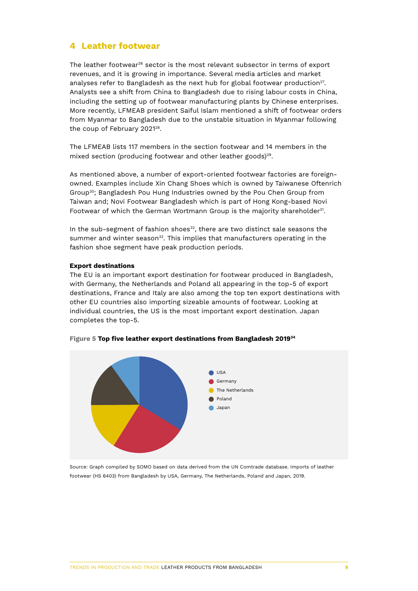### **4 Leather footwear**

The leather footwear<sup>26</sup> sector is the most relevant subsector in terms of export revenues, and it is growing in importance. Several media articles and market analyses refer to Bangladesh as the next hub for global footwear production<sup>27</sup>. Analysts see a shift from China to Bangladesh due to rising labour costs in China, including the setting up of footwear manufacturing plants by Chinese enterprises. More recently, LFMEAB president Saiful Islam mentioned a shift of footwear orders from Myanmar to Bangladesh due to the unstable situation in Myanmar following the coup of February 2021<sup>28</sup>.

The LFMEAB lists 117 members in the section footwear and 14 members in the mixed section (producing footwear and other leather goods)<sup>29</sup>.

As mentioned above, a number of export-oriented footwear factories are foreignowned. Examples include Xin Chang Shoes which is owned by Taiwanese Oftenrich Group30; Bangladesh Pou Hung Industries owned by the Pou Chen Group from Taiwan and; Novi Footwear Bangladesh which is part of Hong Kong-based Novi Footwear of which the German Wortmann Group is the majority shareholder<sup>31</sup>.

In the sub-segment of fashion shoes<sup>32</sup>, there are two distinct sale seasons the summer and winter season<sup>33</sup>. This implies that manufacturers operating in the fashion shoe segment have peak production periods.

### **Export destinations**

The EU is an important export destination for footwear produced in Bangladesh, with Germany, the Netherlands and Poland all appearing in the top-5 of export destinations, France and Italy are also among the top ten export destinations with other EU countries also importing sizeable amounts of footwear. Looking at individual countries, the US is the most important export destination. Japan completes the top-5.



**Figure 5 Top five leather export destinations from Bangladesh 201934**

Source: Graph compiled by SOMO based on data derived from the UN Comtrade database. Imports of leather footwear (HS 6403) from Bangladesh by USA, Germany, The Netherlands, Poland and Japan, 2019.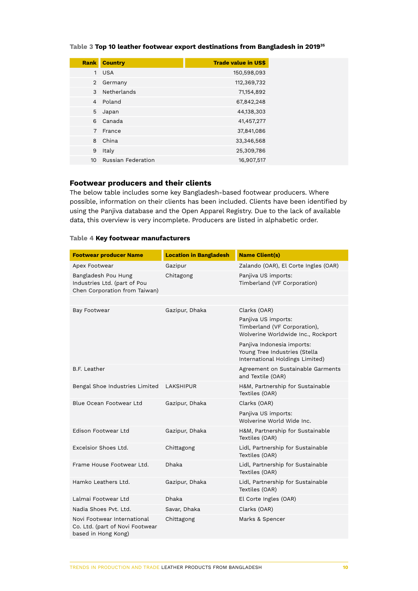|                 | <b>Rank Country</b> | <b>Trade value in US\$</b> |
|-----------------|---------------------|----------------------------|
|                 | 1 USA               | 150,598,093                |
| $\overline{2}$  | Germany             | 112,369,732                |
| 3               | Netherlands         | 71,154,892                 |
|                 | 4 Poland            | 67,842,248                 |
| 5               | Japan               | 44,138,303                 |
| 6               | Canada              | 41,457,277                 |
| $\overline{7}$  | France              | 37,841,086                 |
| 8               | China               | 33,346,568                 |
| 9               | Italy               | 25,309,786                 |
| 10 <sup>°</sup> | Russian Federation  | 16,907,517                 |

### **Footwear producers and their clients**

The below table includes some key Bangladesh-based footwear producers. Where possible, information on their clients has been included. Clients have been identified by using the Panjiva database and the Open Apparel Registry. Due to the lack of available data, this overview is very incomplete. Producers are listed in alphabetic order.

### **Table 4 Key footwear manufacturers**

| <b>Footwear producer Name</b>                                                         | <b>Location in Bangladesh</b> | <b>Name Client(s)</b>                                                                          |
|---------------------------------------------------------------------------------------|-------------------------------|------------------------------------------------------------------------------------------------|
| Apex Footwear                                                                         | Gazipur                       | Zalando (OAR), El Corte Ingles (OAR)                                                           |
| Bangladesh Pou Hung<br>Industries Ltd. (part of Pou<br>Chen Corporation from Taiwan)  | Chitagong                     | Panjiva US imports:<br>Timberland (VF Corporation)                                             |
|                                                                                       |                               |                                                                                                |
| Bay Footwear                                                                          | Gazipur, Dhaka                | Clarks (OAR)                                                                                   |
|                                                                                       |                               | Panjiva US imports:<br>Timberland (VF Corporation),<br>Wolverine Worldwide Inc., Rockport      |
|                                                                                       |                               | Panjiva Indonesia imports:<br>Young Tree Industries (Stella<br>International Holdings Limited) |
| B.F. Leather                                                                          |                               | Agreement on Sustainable Garments<br>and Textile (OAR)                                         |
| Bengal Shoe Industries Limited                                                        | <b>LAKSHIPUR</b>              | H&M, Partnership for Sustainable<br>Textiles (OAR)                                             |
| Blue Ocean Footwear Ltd                                                               | Gazipur, Dhaka                | Clarks (OAR)                                                                                   |
|                                                                                       |                               | Panjiva US imports:<br>Wolverine World Wide Inc.                                               |
| Edison Footwear Ltd                                                                   | Gazipur, Dhaka                | H&M, Partnership for Sustainable<br>Textiles (OAR)                                             |
| Excelsior Shoes Ltd.                                                                  | Chittagong                    | Lidl, Partnership for Sustainable<br>Textiles (OAR)                                            |
| Frame House Footwear Ltd.                                                             | Dhaka                         | Lidl, Partnership for Sustainable<br>Textiles (OAR)                                            |
| Hamko Leathers Ltd.                                                                   | Gazipur, Dhaka                | Lidl, Partnership for Sustainable<br>Textiles (OAR)                                            |
| Lalmai Footwear Ltd                                                                   | Dhaka                         | El Corte Ingles (OAR)                                                                          |
| Nadia Shoes Pvt. Ltd.                                                                 | Savar, Dhaka                  | Clarks (OAR)                                                                                   |
| Novi Footwear International<br>Co. Ltd. (part of Novi Footwear<br>based in Hong Kong) | Chittagong                    | Marks & Spencer                                                                                |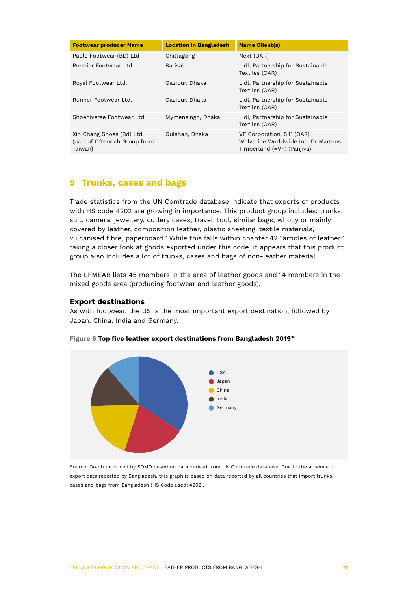| <b>Footwear producer Name</b>                                         | <b>Location in Bangladesh</b> | <b>Name Client(s)</b>                                                                            |
|-----------------------------------------------------------------------|-------------------------------|--------------------------------------------------------------------------------------------------|
| Paolo Footwear (BD) Ltd                                               | Chittagong                    | Next (OAR)                                                                                       |
| Premier Footwear Ltd.                                                 | Barisal                       | Lidl, Partnership for Sustainable<br>Textiles (OAR)                                              |
| Royal Footwear Ltd.                                                   | Gazipur, Dhaka                | Lidl, Partnership for Sustainable<br>Textiles (OAR)                                              |
| Runner Footwear Ltd.                                                  | Gazipur, Dhaka                | Lidl, Partnership for Sustainable<br>Textiles (OAR)                                              |
| Shoeniverse Footwear Ltd.                                             | Mymensingh, Dhaka             | Lidl, Partnership for Sustainable<br>Textiles (OAR)                                              |
| Xin Chang Shoes (Bd) Ltd.<br>(part of Oftenrich Group from<br>Taiwan) | Gulshan, Dhaka                | VF Corporation, 5.11 (OAR)<br>Wolverine Worldwide Inc, Dr Martens,<br>Timberland (=VF) (Panjiva) |

### **5 Trunks, cases and bags**

Trade statistics from the UN Comtrade database indicate that exports of products with HS code 4202 are growing in importance. This product group includes: trunks; suit, camera, jewellery, cutlery cases; travel, tool, similar bags; wholly or mainly covered by leather, composition leather, plastic sheeting, textile materials, vulcanised fibre, paperboard." While this falls within chapter 42 "articles of leather", taking a closer look at goods exported under this code, it appears that this product group also includes a lot of trunks, cases and bags of non-leather material.

The LFMEAB lists 45 members in the area of leather goods and 14 members in the mixed goods area (producing footwear and leather goods).

### **Export destinations**

As with footwear, the US is the most important export destination, followed by Japan, China, India and Germany.



### **Figure 6 Top five leather export destinations from Bangladesh 201936**

Source: Graph produced by SOMO based on data derived from UN Comtrade database. Due to the absence of export data reported by Bangladesh, this graph is based on data reported by all countries that import trunks, cases and bags from Bangladesh (HS Code used: 4202).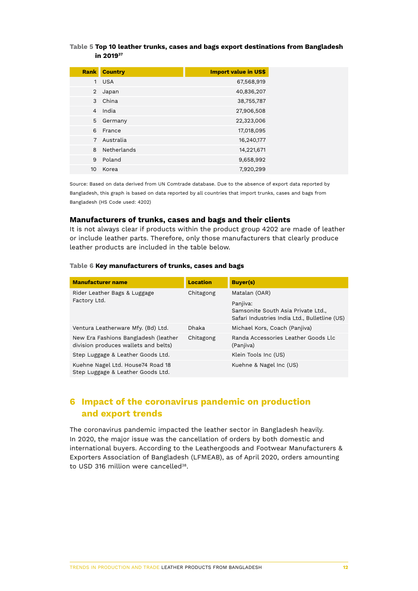### **Table 5 Top 10 leather trunks, cases and bags export destinations from Bangladesh in 201937**

| <b>Rank</b>    | <b>Country</b> | <b>Import value in US\$</b> |
|----------------|----------------|-----------------------------|
| 1              | <b>USA</b>     | 67,568,919                  |
| $\overline{2}$ | Japan          | 40,836,207                  |
| 3              | China          | 38,755,787                  |
| $\overline{4}$ | India          | 27,906,508                  |
| 5              | Germany        | 22,323,006                  |
| 6              | France         | 17,018,095                  |
| 7              | Australia      | 16,240,177                  |
| 8              | Netherlands    | 14,221,671                  |
| 9              | Poland         | 9,658,992                   |
| 10             | Korea          | 7,920,299                   |

Source: Based on data derived from UN Comtrade database. Due to the absence of export data reported by Bangladesh, this graph is based on data reported by all countries that import trunks, cases and bags from Bangladesh (HS Code used: 4202)

### **Manufacturers of trunks, cases and bags and their clients**

It is not always clear if products within the product group 4202 are made of leather or include leather parts. Therefore, only those manufacturers that clearly produce leather products are included in the table below.

#### **Table 6 Key manufacturers of trunks, cases and bags**

| <b>Manufacturer name</b>                                                     | <b>Location</b> | <b>Buyer(s)</b>                                                                                 |
|------------------------------------------------------------------------------|-----------------|-------------------------------------------------------------------------------------------------|
| Rider Leather Bags & Luggage                                                 | Chitagong       | Matalan (OAR)                                                                                   |
| Factory Ltd.                                                                 |                 | Panjiva:<br>Samsonite South Asia Private Ltd.,<br>Safari Industries India Ltd., Bulletline (US) |
| Ventura Leatherware Mfy. (Bd) Ltd.                                           | <b>Dhaka</b>    | Michael Kors, Coach (Panjiva)                                                                   |
| New Era Fashions Bangladesh (leather<br>division produces wallets and belts) | Chitagong       | Randa Accessories Leather Goods Llc<br>(Panjiva)                                                |
| Step Luggage & Leather Goods Ltd.                                            |                 | Klein Tools Inc (US)                                                                            |
| Kuehne Nagel Ltd. House74 Road 18<br>Step Luggage & Leather Goods Ltd.       |                 | Kuehne & Nagel Inc (US)                                                                         |

## **6 Impact of the coronavirus pandemic on production and export trends**

The coronavirus pandemic impacted the leather sector in Bangladesh heavily. In 2020, the major issue was the cancellation of orders by both domestic and international buyers. According to the Leathergoods and Footwear Manufacturers & Exporters Association of Bangladesh (LFMEAB), as of April 2020, orders amounting to USD 316 million were cancelled<sup>38</sup>.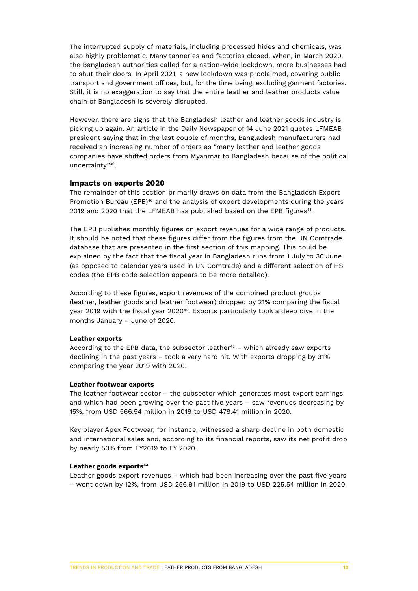The interrupted supply of materials, including processed hides and chemicals, was also highly problematic. Many tanneries and factories closed. When, in March 2020, the Bangladesh authorities called for a nation-wide lockdown, more businesses had to shut their doors. In April 2021, a new lockdown was proclaimed, covering public transport and government offices, but, for the time being, excluding garment factories. Still, it is no exaggeration to say that the entire leather and leather products value chain of Bangladesh is severely disrupted.

However, there are signs that the Bangladesh leather and leather goods industry is picking up again. An article in the Daily Newspaper of 14 June 2021 quotes LFMEAB president saying that in the last couple of months, Bangladesh manufacturers had received an increasing number of orders as "many leather and leather goods companies have shifted orders from Myanmar to Bangladesh because of the political uncertainty"39.

### **Impacts on exports 2020**

The remainder of this section primarily draws on data from the Bangladesh Export Promotion Bureau (EPB)<sup>40</sup> and the analysis of export developments during the years 2019 and 2020 that the LFMEAB has published based on the EPB figures<sup>41</sup>.

The EPB publishes monthly figures on export revenues for a wide range of products. It should be noted that these figures differ from the figures from the UN Comtrade database that are presented in the first section of this mapping. This could be explained by the fact that the fiscal year in Bangladesh runs from 1 July to 30 June (as opposed to calendar years used in UN Comtrade) and a different selection of HS codes (the EPB code selection appears to be more detailed).

According to these figures, export revenues of the combined product groups (leather, leather goods and leather footwear) dropped by 21% comparing the fiscal year 2019 with the fiscal year  $2020^{42}$ . Exports particularly took a deep dive in the months January – June of 2020.

### **Leather exports**

According to the EPB data, the subsector leather $43 -$  which already saw exports declining in the past years – took a very hard hit. With exports dropping by 31% comparing the year 2019 with 2020.

### **Leather footwear exports**

The leather footwear sector – the subsector which generates most export earnings and which had been growing over the past five years – saw revenues decreasing by 15%, from USD 566.54 million in 2019 to USD 479.41 million in 2020.

Key player Apex Footwear, for instance, witnessed a sharp decline in both domestic and international sales and, according to its financial reports, saw its net profit drop by nearly 50% from FY2019 to FY 2020.

#### Leather goods exports<sup>44</sup>

Leather goods export revenues – which had been increasing over the past five years – went down by 12%, from USD 256.91 million in 2019 to USD 225.54 million in 2020.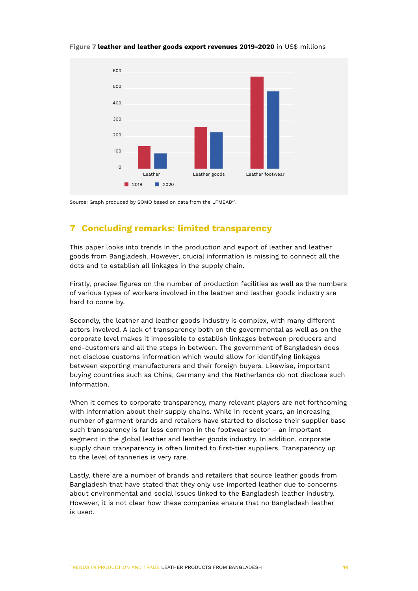

**Figure 7 leather and leather goods export revenues 2019-2020** in US\$ millions

Source: Graph produced by SOMO based on data from the LFMEAB<sup>45</sup>.

# **7 Concluding remarks: limited transparency**

This paper looks into trends in the production and export of leather and leather goods from Bangladesh. However, crucial information is missing to connect all the dots and to establish all linkages in the supply chain.

Firstly, precise figures on the number of production facilities as well as the numbers of various types of workers involved in the leather and leather goods industry are hard to come by.

Secondly, the leather and leather goods industry is complex, with many different actors involved. A lack of transparency both on the governmental as well as on the corporate level makes it impossible to establish linkages between producers and end-customers and all the steps in between. The government of Bangladesh does not disclose customs information which would allow for identifying linkages between exporting manufacturers and their foreign buyers. Likewise, important buying countries such as China, Germany and the Netherlands do not disclose such information.

When it comes to corporate transparency, many relevant players are not forthcoming with information about their supply chains. While in recent years, an increasing number of garment brands and retailers have started to disclose their supplier base such transparency is far less common in the footwear sector – an important segment in the global leather and leather goods industry. In addition, corporate supply chain transparency is often limited to first-tier suppliers. Transparency up to the level of tanneries is very rare.

Lastly, there are a number of brands and retailers that source leather goods from Bangladesh that have stated that they only use imported leather due to concerns about environmental and social issues linked to the Bangladesh leather industry. However, it is not clear how these companies ensure that no Bangladesh leather is used.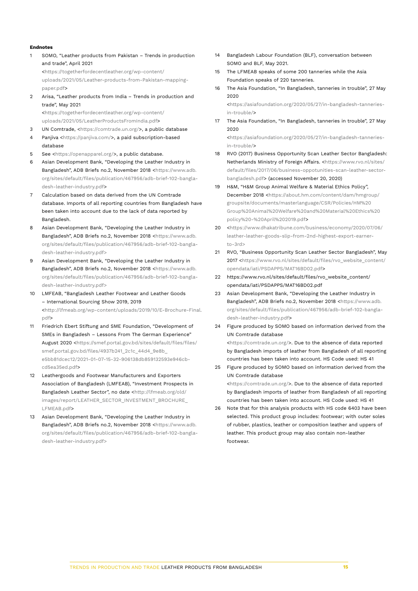#### **Endnotes**

1 SOMO, "Leather products from Pakistan – Trends in production and trade", April 2021

<https://togetherfordecentleather.org/wp-content/ uploads/2021/05/Leather-products-from-Pakistan-mappingpaper.pdf>

2 Arisa, "Leather products from India – Trends in production and trade", May 2021

<https://togetherfordecentleather.org/wp-content/ uploads/2021/05/LeatherProductsFromIndia.pdf>

- 3 UN Comtrade, [<https://comtrade.un.org/>](https://comtrade.un.org/), a public database
- 4 Panjiva <<https://panjiva.com/>>, a paid subscription-based database
- 5 See <[https://openapparel.org/>](https://openapparel.org/), a public database.
- 6 Asian Development Bank, "Developing the Leather Industry in Bangladesh", ADB Briefs no.2, November 2018 <[https://www.adb.](https://www.adb.org/sites/default/files/publication/467956/adb-brief-102-bangladesh-leather-industry.pdf) [org/sites/default/files/publication/467956/adb-brief-102-bangla](https://www.adb.org/sites/default/files/publication/467956/adb-brief-102-bangladesh-leather-industry.pdf)[desh-leather-industry.pdf>](https://www.adb.org/sites/default/files/publication/467956/adb-brief-102-bangladesh-leather-industry.pdf)
- Calculation based on data derived from the UN Comtrade database. Imports of all reporting countries from Bangladesh have been taken into account due to the lack of data reported by Bangladesh.
- 8 Asian Development Bank, "Developing the Leather Industry in Bangladesh", ADB Briefs no.2, November 2018 <[https://www.adb.](https://www.adb.org/sites/default/files/publication/467956/adb-brief-102-bangladesh-leather-industry.pdf) [org/sites/default/files/publication/467956/adb-brief-102-bangla](https://www.adb.org/sites/default/files/publication/467956/adb-brief-102-bangladesh-leather-industry.pdf)[desh-leather-industry.pdf>](https://www.adb.org/sites/default/files/publication/467956/adb-brief-102-bangladesh-leather-industry.pdf)
- 9 Asian Development Bank, "Developing the Leather Industry in Bangladesh", ADB Briefs no.2, November 2018 <[https://www.adb.](https://www.adb.org/sites/default/files/publication/467956/adb-brief-102-bangladesh-leather-industry.pdf) [org/sites/default/files/publication/467956/adb-brief-102-bangla](https://www.adb.org/sites/default/files/publication/467956/adb-brief-102-bangladesh-leather-industry.pdf)[desh-leather-industry.pdf>](https://www.adb.org/sites/default/files/publication/467956/adb-brief-102-bangladesh-leather-industry.pdf)
- 10 LMFEAB, "Bangladesh Leather Footwear and Leather Goods – International Sourcing Show 2019, 2019 <[http://lfmeab.org/wp-content/uploads/2019/10/E-Brochure-Final.](http://lfmeab.org/wp-content/uploads/2019/10/E-Brochure-Final.pdf) [pdf](http://lfmeab.org/wp-content/uploads/2019/10/E-Brochure-Final.pdf)>
- 11 Friedrich Ebert Stiftung and SME Foundation, "Development of SMEs in Bangladesh – Lessons From The German Experience" August 2020 [<https://smef.portal.gov.bd/sites/default/files/files/](https://smef.portal.gov.bd/sites/default/files/files/smef.portal.gov.bd/files/4937b241_2c1c_44d4_9e8b_e5bb81dcec12/2021-01-07-15-32-906138db859132593e946cbcd5ea35ed.pdf) [smef.portal.gov.bd/files/4937b241\\_2c1c\\_44d4\\_9e8b\\_](https://smef.portal.gov.bd/sites/default/files/files/smef.portal.gov.bd/files/4937b241_2c1c_44d4_9e8b_e5bb81dcec12/2021-01-07-15-32-906138db859132593e946cbcd5ea35ed.pdf) [e5bb81dcec12/2021-01-07-15-32-906138db859132593e946cb](https://smef.portal.gov.bd/sites/default/files/files/smef.portal.gov.bd/files/4937b241_2c1c_44d4_9e8b_e5bb81dcec12/2021-01-07-15-32-906138db859132593e946cbcd5ea35ed.pdf)[cd5ea35ed.pdf](https://smef.portal.gov.bd/sites/default/files/files/smef.portal.gov.bd/files/4937b241_2c1c_44d4_9e8b_e5bb81dcec12/2021-01-07-15-32-906138db859132593e946cbcd5ea35ed.pdf)>
- 12 Leathergoods and Footwear Manufacturers and Exporters Association of Bangladesh (LMFEAB), "Investment Prospects in Bangladesh Leather Sector", no date <[http://lfmeab.org/old/](http://lfmeab.org/old/images/report/LEATHER_SECTOR_INVESTMENT_BROCHURE_LFMEAB.pdf) [images/report/LEATHER\\_SECTOR\\_INVESTMENT\\_BROCHURE\\_](http://lfmeab.org/old/images/report/LEATHER_SECTOR_INVESTMENT_BROCHURE_LFMEAB.pdf) [LFMEAB.pdf](http://lfmeab.org/old/images/report/LEATHER_SECTOR_INVESTMENT_BROCHURE_LFMEAB.pdf)>
- 13 Asian Development Bank, "Developing the Leather Industry in Bangladesh", ADB Briefs no.2, November 2018 <[https://www.adb.](https://www.adb.org/sites/default/files/publication/467956/adb-brief-102-bangladesh-leather-industry.pdf) [org/sites/default/files/publication/467956/adb-brief-102-bangla](https://www.adb.org/sites/default/files/publication/467956/adb-brief-102-bangladesh-leather-industry.pdf)[desh-leather-industry.pdf>](https://www.adb.org/sites/default/files/publication/467956/adb-brief-102-bangladesh-leather-industry.pdf)
- 14 Bangladesh Labour Foundation (BLF), conversation between SOMO and BLF, May 2021.
- 15 The LFMEAB speaks of some 200 tanneries while the Asia Foundation speaks of 220 tanneries.
- 16 The Asia Foundation, "In Bangladesh, tanneries in trouble", 27 May 2020

<https://asiafoundation.org/2020/05/27/in-bangladesh-tanneriesin-trouble/>

17 The Asia Foundation, "In Bangladesh, tanneries in trouble", 27 May  $2020$ 

<https://asiafoundation.org/2020/05/27/in-bangladesh-tanneriesin-trouble/>

- 18 RVO (2017) Business Opportunity Scan Leather Sector Bangladesh: Netherlands Ministry of Foreign Affairs. <[https://www.rvo.nl/sites/](https://www.rvo.nl/sites/default/files/2017/06/business-oppotunities-scan-leather-sector-bangladesh.pdf) [default/files/2017/06/business-oppotunities-scan-leather-sector](https://www.rvo.nl/sites/default/files/2017/06/business-oppotunities-scan-leather-sector-bangladesh.pdf)[bangladesh.pdf>](https://www.rvo.nl/sites/default/files/2017/06/business-oppotunities-scan-leather-sector-bangladesh.pdf) (accessed November 20, 2020)
- 19 H&M, "H&M Group Animal Welfare & Material Ethics Policy", December 2018 <https://about.hm.com/content/dam/hmgroup/ groupsite/documents/masterlanguage/CSR/Policies/HM%20 Group%20Animal%20Welfare%20and%20Material%20Ethics%20 policy%20-%20April%202019.pdf>
- 20 <https://www.dhakatribune.com/business/economy/2020/07/06/ leather-leather-goods-slip-from-2nd-highest-export-earnerto-3rd>
- 21 RVO, "Business Opportunity Scan Leather Sector Bangladesh", May 2017 <https://www.rvo.nl/sites/default/files/rvo\_website\_content/ opendata/iati/PSDAPPS/MAT16BD02.pdf>
- 22 https://www.rvo.nl/sites/default/files/rvo\_website\_content/ opendata/iati/PSDAPPS/MAT16BD02.pdf
- 23 Asian Development Bank, "Developing the Leather Industry in Bangladesh", ADB Briefs no.2, November 2018 [<https://www.adb.](https://www.adb.org/sites/default/files/publication/467956/adb-brief-102-bangladesh-leather-industry.pdf) [org/sites/default/files/publication/467956/adb-brief-102-bangla](https://www.adb.org/sites/default/files/publication/467956/adb-brief-102-bangladesh-leather-industry.pdf)[desh-leather-industry.pdf>](https://www.adb.org/sites/default/files/publication/467956/adb-brief-102-bangladesh-leather-industry.pdf)
- 24 Figure produced by SOMO based on information derived from the UN Comtrade database

<https://comtrade.un.org/>. Due to the absence of data reported by Bangladesh imports of leather from Bangladesh of all reporting countries has been taken into account. HS Code used: HS 41

- 25 Figure produced by SOMO based on information derived from the UN Comtrade database <https://comtrade.un.org/>. Due to the absence of data reported by Bangladesh imports of leather from Bangladesh of all reporting countries has been taken into account. HS Code used: HS 41
- 26 Note that for this analysis products with HS code 6403 have been selected. This product group includes: footwear; with outer soles of rubber, plastics, leather or composition leather and uppers of leather. This product group may also contain non-leather footwear.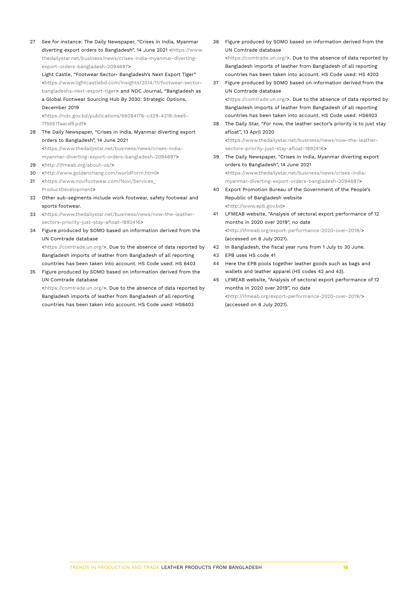27 See for instance: The Daily Newspaper, "Crises in India, Myanmar diverting export orders to Bangladesh", 14 June 2021 <https://www. thedailystar.net/business/news/crises-india-myanmar-divertingexport-orders-bangladesh-2094697>

Light Castle, "Footwear Sector- Bangladesh's Next Export Tiger" <[https://www.lightcastlebd.com/insights/2014/11/footwear-sector](https://www.lightcastlebd.com/insights/2014/11/footwear-sector-bangladeshs-next-export-tiger)[bangladeshs-next-export-tiger](https://www.lightcastlebd.com/insights/2014/11/footwear-sector-bangladeshs-next-export-tiger)> and NDC Journal, "Bangladesh as a Global Footwear Sourcing Hub By 2030: Strategic Options,

### December 2019

<https://ndc.gov.bd/publications/66084176-cd29-4219-bee5- 7f5557faacd9.pdf>

28 The Daily Newspaper, "Crises in India, Myanmar diverting export orders to Bangladesh", 14 June 2021

<https://www.thedailystar.net/business/news/crises-indiamyanmar-diverting-export-orders-bangladesh-2094697>

- 29 <http://lfmeab.org/about-us/>
- 30 <http://www.goldenchang.com/worldForm.html>
- 31 <https://www.novifootwear.com/Novi/Services\_ ProductDevelopment>
- 32 Other sub-segments include work footwear, safety footwear and sports footwear.
- 33 <[https://www.thedailystar.net/business/news/now-the-leather](https://www.thedailystar.net/business/news/now-the-leather-sectors-priority-just-stay-afloat-1892416)[sectors-priority-just-stay-afloat-1892416](https://www.thedailystar.net/business/news/now-the-leather-sectors-priority-just-stay-afloat-1892416)>
- 34 Figure produced by SOMO based on information derived from the UN Comtrade database <https://comtrade.un.org/>. Due to the absence of data reported by Bangladesh imports of leather from Bangladesh of all reporting countries has been taken into account. HS Code used: HS 6403
- 35 Figure produced by SOMO based on information derived from the UN Comtrade database

<https://comtrade.un.org/>. Due to the absence of data reported by Bangladesh imports of leather from Bangladesh of all reporting countries has been taken into account. HS Code used: HS6403

36 Figure produced by SOMO based on information derived from the UN Comtrade database <https://comtrade.un.org/>. Due to the absence of data reported by

Bangladesh imports of leather from Bangladesh of all reporting countries has been taken into account. HS Code used: HS 4202 37 Figure produced by SOMO based on information derived from the

- UN Comtrade database <https://comtrade.un.org/>. Due to the absence of data reported by Bangladesh imports of leather from Bangladesh of all reporting countries has been taken into account. HS Code used: HS6403
- 38 The Daily Star, "For now, the leather sector's priority is to just stay afloat", 13 April 2020

<https://www.thedailystar.net/business/news/now-the-leathersectors-priority-just-stay-afloat-1892416>

- 39 The Daily Newspaper, "Crises in India, Myanmar diverting export orders to Bangladesh", 14 June 2021 <https://www.thedailystar.net/business/news/crises-indiamyanmar-diverting-export-orders-bangladesh-2094697>
- 40 Export Promotion Bureau of the Government of the People's Republic of Bangladesh website <http://www.epb.gov.bd>
- 41 LFMEAB website, "Analysis of sectoral export performance of 12 months in 2020 over 2019", no date <[http://lfmeab.org/export-performance-2020-over-2019/>](http://lfmeab.org/export-performance-2020-over-2019/) (accessed on 6 July 2021).
- 42 In Bangladesh, the fiscal year runs from 1 July to 30 June.
- 43 EPB uses HS code 41
- 44 Here the EPB pools together leather goods such as bags and wallets and leather apparel (HS codes 42 and 43).
- 45 LFMEAB website, "Analysis of sectoral export performance of 12 months in 2020 over 2019", no date <[http://lfmeab.org/export-performance-2020-over-2019/>](http://lfmeab.org/export-performance-2020-over-2019/) (accessed on 6 July 2021).